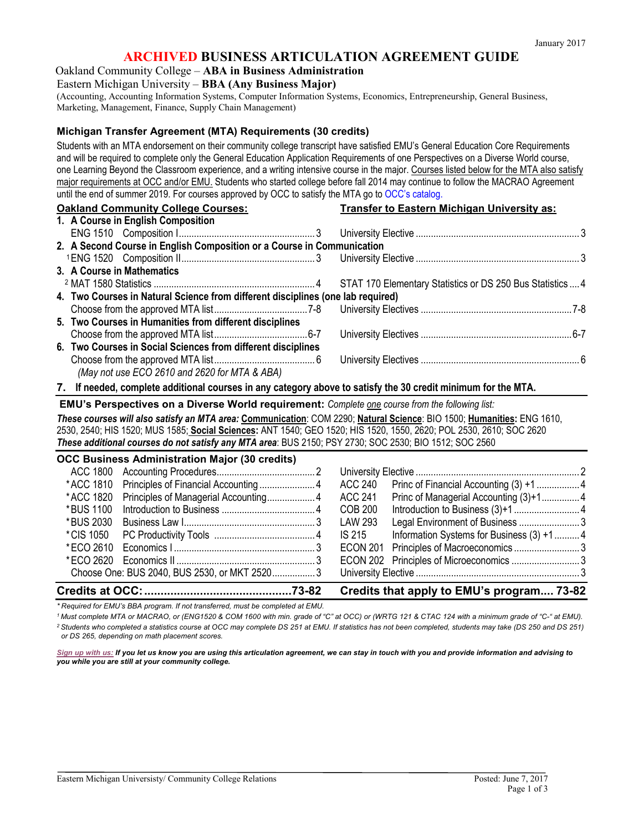# **ARCHIVED BUSINESS ARTICULATION AGREEMENT GUIDE**

Oakland Community College – **ABA in Business Administration**

Eastern Michigan University – **BBA (Any Business Major)**

(Accounting, Accounting Information Systems, Computer Information Systems, Economics, Entrepreneurship, General Business, Marketing, Management, Finance, Supply Chain Management)

#### **Michigan Transfer Agreement (MTA) Requirements (30 credits)**

Students with an MTA endorsement on their community college transcript have satisfied EMU's General Education Core Requirements and will be required to complete only the General Education Application Requirements of one Perspectives on a Diverse World course, one Learning Beyond the Classroom experience, and a writing intensive course in the major. Courses listed below for the MTA also satisfy major requirements at OCC and/or EMU. Students who started college before fall 2014 may continue to follow the MACRAO Agreement until the end of summer 2019. For courses approved by OCC to satisfy the MTA go to [OCC's catalog.](http://catalog.oaklandcc.edu/graduation-requirements/)

| <b>Oakland Community College Courses:</b>                                       | <b>Transfer to Eastern Michigan University as:</b> |  |  |  |
|---------------------------------------------------------------------------------|----------------------------------------------------|--|--|--|
| 1. A Course in English Composition                                              |                                                    |  |  |  |
|                                                                                 |                                                    |  |  |  |
| 2. A Second Course in English Composition or a Course in Communication          |                                                    |  |  |  |
|                                                                                 |                                                    |  |  |  |
| 3. A Course in Mathematics                                                      |                                                    |  |  |  |
|                                                                                 |                                                    |  |  |  |
| 4. Two Courses in Natural Science from different disciplines (one lab required) |                                                    |  |  |  |
|                                                                                 |                                                    |  |  |  |
| 5. Two Courses in Humanities from different disciplines                         |                                                    |  |  |  |
|                                                                                 |                                                    |  |  |  |
| 6. Two Courses in Social Sciences from different disciplines                    |                                                    |  |  |  |
|                                                                                 |                                                    |  |  |  |
| (May not use ECO 2610 and 2620 for MTA & ABA)                                   |                                                    |  |  |  |

**7. If needed, complete additional courses in any category above to satisfy the 30 credit minimum for the MTA.**

**EMU's Perspectives on a Diverse World requirement:** *Complete one course from the following list:*

*These courses will also satisfy an MTA area:* **Communication**: COM 2290; **Natural Science**: BIO 1500; **Humanities:** ENG 1610, 2530, 2540; HIS 1520; MUS 1585; **Social Sciences:** ANT 1540; GEO 1520; HIS 1520, 1550, 2620; POL 2530, 2610; SOC 2620 *These additional courses do not satisfy any MTA area*: BUS 2150; PSY 2730; SOC 2530; BIO 1512; SOC 2560

|                                           | <b>OCC Business Administration Major (30 credits)</b> |         |                                          |  |
|-------------------------------------------|-------------------------------------------------------|---------|------------------------------------------|--|
|                                           |                                                       |         |                                          |  |
|                                           |                                                       | ACC 240 |                                          |  |
|                                           |                                                       | ACC 241 | Princ of Managerial Accounting (3)+14    |  |
|                                           |                                                       | COB 200 |                                          |  |
|                                           |                                                       | LAW 293 | Legal Environment of Business 3          |  |
|                                           |                                                       | IS 215  | Information Systems for Business (3) +14 |  |
|                                           |                                                       |         |                                          |  |
|                                           |                                                       |         |                                          |  |
|                                           | Choose One: BUS 2040, BUS 2530, or MKT 25203          |         |                                          |  |
| Credits that apply to EMU's program 73-82 |                                                       |         |                                          |  |

*\* Required for EMU's BBA program. If not transferred, must be completed at EMU.*

*1 Must complete MTA or MACRAO, or (ENG1520 & COM 1600 with min. grade of "C" at OCC) or (WRTG 121 & CTAC 124 with a minimum grade of "C-" at EMU). 2 Students who completed a statistics course at OCC may complete DS 251 at EMU. If statistics has not been completed, students may take (DS 250 and DS 251) or DS 265, depending on math placement scores.*

*[Sign up with us:](http://www.emich.edu/ccr/articulation-agreements/signup.php) If you let us know you are using this articulation agreement, we can stay in touch with you and provide information and advising to you while you are still at your community college.*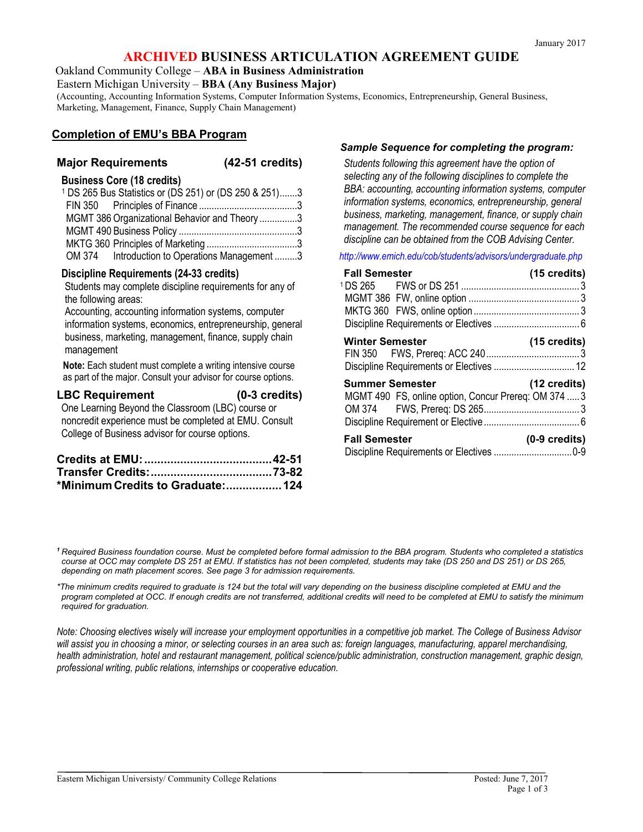# **ARCHIVED BUSINESS ARTICULATION AGREEMENT GUIDE**

Oakland Community College – **ABA in Business Administration**

Eastern Michigan University – **BBA (Any Business Major)**

(Accounting, Accounting Information Systems, Computer Information Systems, Economics, Entrepreneurship, General Business, Marketing, Management, Finance, Supply Chain Management)

# **Completion of EMU's BBA Program**

### **Major Requirements (42-51 credits)**

#### **Business Core (18 credits)**

| <sup>1</sup> DS 265 Bus Statistics or (DS 251) or (DS 250 & 251)3 |  |
|-------------------------------------------------------------------|--|
|                                                                   |  |
| MGMT 386 Organizational Behavior and Theory 3                     |  |
|                                                                   |  |
|                                                                   |  |
| OM 374 Introduction to Operations Management 3                    |  |

#### **Discipline Requirements (24-33 credits)**

Students may complete discipline requirements for any of the following areas:

Accounting, accounting information systems, computer information systems, economics, entrepreneurship, general business, marketing, management, finance, supply chain management

**Note:** Each student must complete a writing intensive course as part of the major. Consult your advisor for course options.

#### **LBC Requirement (0-3 credits)**

One Learning Beyond the Classroom (LBC) course or noncredit experience must be completed at EMU. Consult College of Business advisor for course options.

| *Minimum Credits to Graduate:124 |  |
|----------------------------------|--|

#### *Sample Sequence for completing the program:*

*Students following this agreement have the option of selecting any of the following disciplines to complete the BBA: accounting, accounting information systems, computer information systems, economics, entrepreneurship, general business, marketing, management, finance, or supply chain management. The recommended course sequence for each discipline can be obtained from the COB Advising Center.*

*<http://www.emich.edu/cob/students/advisors/undergraduate.php>*

| <b>Fall Semester</b>                                 | $(15 \text{ credits})$  |
|------------------------------------------------------|-------------------------|
|                                                      |                         |
|                                                      |                         |
|                                                      |                         |
|                                                      |                         |
| <b>Winter Semester</b>                               | $(15 \text{ credits})$  |
|                                                      |                         |
| <b>Summer Semester</b>                               | $(12 \text{ credits})$  |
| MGMT 490 FS, online option, Concur Prereq: OM 374  3 |                         |
|                                                      |                         |
|                                                      |                         |
| <b>Fall Semester</b>                                 | $(0-9 \text{ credits})$ |
|                                                      |                         |

*<sup>1</sup> Required Business foundation course. Must be completed before formal admission to the BBA program. Students who completed a statistics course at OCC may complete DS 251 at EMU. If statistics has not been completed, students may take (DS 250 and DS 251) or DS 265, depending on math placement scores. See page 3 for admission requirements.*

*\*The minimum credits required to graduate is 124 but the total will vary depending on the business discipline completed at EMU and the program completed at OCC. If enough credits are not transferred, additional credits will need to be completed at EMU to satisfy the minimum required for graduation.* 

*Note: Choosing electives wisely will increase your employment opportunities in a competitive job market. The College of Business Advisor will assist you in choosing a minor, or selecting courses in an area such as: foreign languages, manufacturing, apparel merchandising, health administration, hotel and restaurant management, political science/public administration, construction management, graphic design, professional writing, public relations, internships or cooperative education.*